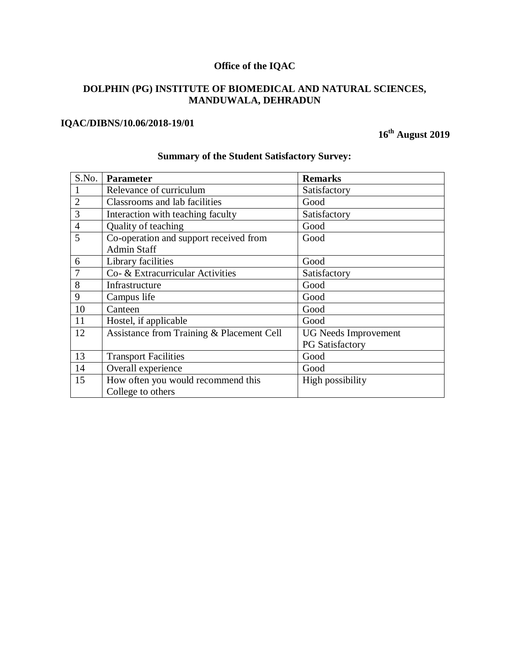# **Office of the IQAC**

## **DOLPHIN (PG) INSTITUTE OF BIOMEDICAL AND NATURAL SCIENCES, MANDUWALA, DEHRADUN**

## **IQAC/DIBNS/10.06/2018-19/01**

**16th August 2019**

| S.No.          | <b>Parameter</b>                          | <b>Remarks</b>              |
|----------------|-------------------------------------------|-----------------------------|
|                | Relevance of curriculum                   | Satisfactory                |
| $\overline{2}$ | Classrooms and lab facilities             | Good                        |
| 3              | Interaction with teaching faculty         | Satisfactory                |
| $\overline{4}$ | Quality of teaching                       | Good                        |
| 5              | Co-operation and support received from    | Good                        |
|                | <b>Admin Staff</b>                        |                             |
| 6              | Library facilities                        | Good                        |
| $\overline{7}$ | Co- & Extracurricular Activities          | Satisfactory                |
| 8              | Infrastructure                            | Good                        |
| 9              | Campus life                               | Good                        |
| 10             | Canteen                                   | Good                        |
| 11             | Hostel, if applicable                     | Good                        |
| 12             | Assistance from Training & Placement Cell | <b>UG</b> Needs Improvement |
|                |                                           | <b>PG</b> Satisfactory      |
| 13             | <b>Transport Facilities</b>               | Good                        |
| 14             | Overall experience                        | Good                        |
| 15             | How often you would recommend this        | High possibility            |
|                | College to others                         |                             |

## **Summary of the Student Satisfactory Survey:**